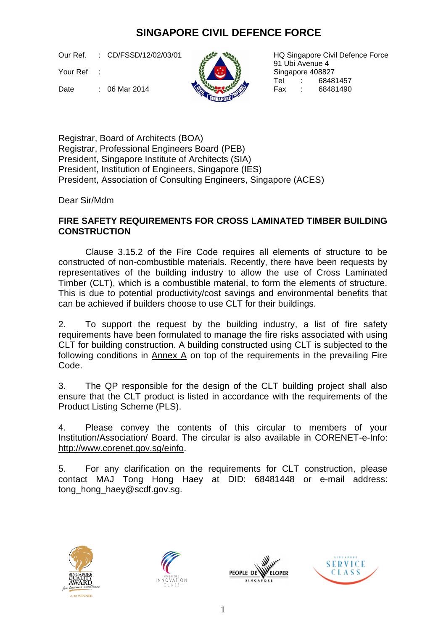# **SINGAPORE CIVIL DEFENCE FORCE**

Our Ref. : CD/FSSD/12/02/03/01

Your Ref :

HQ Singapore Civil Defence Force 91 Ubi Avenue 4 Singapore 408827 Tel : 68481457<br>Fax : 68481490

Date : 06 Mar 2014

Registrar, Board of Architects (BOA) Registrar, Professional Engineers Board (PEB) President, Singapore Institute of Architects (SIA) President, Institution of Engineers, Singapore (IES) President, Association of Consulting Engineers, Singapore (ACES)

Dear Sir/Mdm

# **FIRE SAFETY REQUIREMENTS FOR CROSS LAMINATED TIMBER BUILDING CONSTRUCTION**

Clause 3.15.2 of the Fire Code requires all elements of structure to be constructed of non-combustible materials. Recently, there have been requests by representatives of the building industry to allow the use of Cross Laminated Timber (CLT), which is a combustible material, to form the elements of structure. This is due to potential productivity/cost savings and environmental benefits that can be achieved if builders choose to use CLT for their buildings.

2. To support the request by the building industry, a list of fire safety requirements have been formulated to manage the fire risks associated with using CLT for building construction. A building constructed using CLT is subjected to the following conditions in  $\Delta$  on top of the requirements in the prevailing Fire Code.

3. The QP responsible for the design of the CLT building project shall also ensure that the CLT product is listed in accordance with the requirements of the Product Listing Scheme (PLS).

4. Please convey the contents of this circular to members of your Institution/Association/ Board. The circular is also available in CORENET-e-Info: [http://www.corenet.gov.sg/einfo.](http://www.corenet.gov.sg/einfo)

5. For any clarification on the requirements for CLT construction, please contact MAJ Tong Hong Haey at DID: 68481448 or e-mail address: tong\_hong\_haey@scdf.gov.sg.







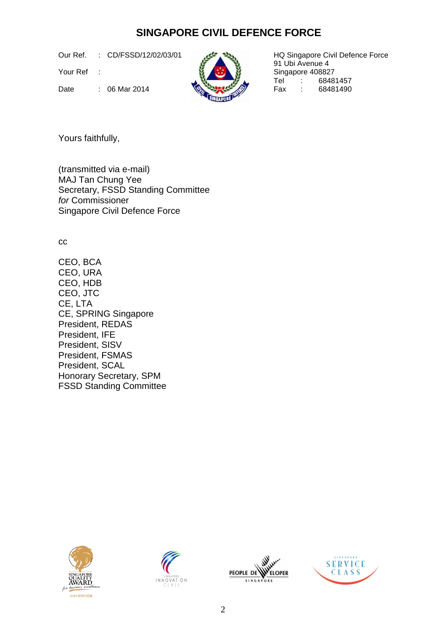# **SINGAPORE CIVIL DEFENCE FORCE**

Our Ref. : CD/FSSD/12/02/03/01

Your Ref :



HQ Singapore Civil Defence Force 91 Ubi Avenue 4 Singapore 408827<br>Tel : 6848 Tel : 68481457<br>Fax : 68481490

Date : 06 Mar 2014  $\left(\begin{array}{cc} \end{array}\right)$  Fax :

Yours faithfully,

(transmitted via e-mail) MAJ Tan Chung Yee Secretary, FSSD Standing Committee *for* Commissioner Singapore Civil Defence Force

cc

CEO, BCA CEO, URA CEO, HDB CEO, JTC CE, LTA CE, SPRING Singapore President, REDAS President, IFE President, SISV President, FSMAS President, SCAL Honorary Secretary, SPM FSSD Standing Committee







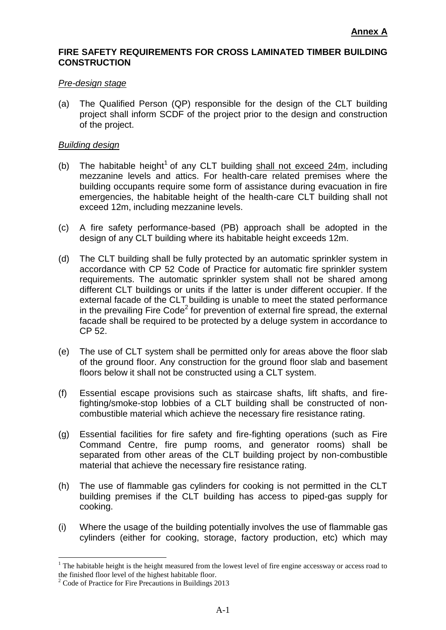### **FIRE SAFETY REQUIREMENTS FOR CROSS LAMINATED TIMBER BUILDING CONSTRUCTION**

#### *Pre-design stage*

(a) The Qualified Person (QP) responsible for the design of the CLT building project shall inform SCDF of the project prior to the design and construction of the project.

#### *Building design*

- (b) The habitable height<sup>1</sup> of any CLT building  $shall$  not exceed  $24m$ , including mezzanine levels and attics. For health-care related premises where the building occupants require some form of assistance during evacuation in fire emergencies, the habitable height of the health-care CLT building shall not exceed 12m, including mezzanine levels.
- (c) A fire safety performance-based (PB) approach shall be adopted in the design of any CLT building where its habitable height exceeds 12m.
- (d) The CLT building shall be fully protected by an automatic sprinkler system in accordance with CP 52 Code of Practice for automatic fire sprinkler system requirements. The automatic sprinkler system shall not be shared among different CLT buildings or units if the latter is under different occupier. If the external facade of the CLT building is unable to meet the stated performance in the prevailing Fire Code<sup>2</sup> for prevention of external fire spread, the external facade shall be required to be protected by a deluge system in accordance to CP 52.
- (e) The use of CLT system shall be permitted only for areas above the floor slab of the ground floor. Any construction for the ground floor slab and basement floors below it shall not be constructed using a CLT system.
- (f) Essential escape provisions such as staircase shafts, lift shafts, and firefighting/smoke-stop lobbies of a CLT building shall be constructed of noncombustible material which achieve the necessary fire resistance rating.
- (g) Essential facilities for fire safety and fire-fighting operations (such as Fire Command Centre, fire pump rooms, and generator rooms) shall be separated from other areas of the CLT building project by non-combustible material that achieve the necessary fire resistance rating.
- (h) The use of flammable gas cylinders for cooking is not permitted in the CLT building premises if the CLT building has access to piped-gas supply for cooking.
- (i) Where the usage of the building potentially involves the use of flammable gas cylinders (either for cooking, storage, factory production, etc) which may

<u>.</u>

<sup>&</sup>lt;sup>1</sup> The habitable height is the height measured from the lowest level of fire engine accessway or access road to the finished floor level of the highest habitable floor.

<sup>&</sup>lt;sup>2</sup> Code of Practice for Fire Precautions in Buildings 2013